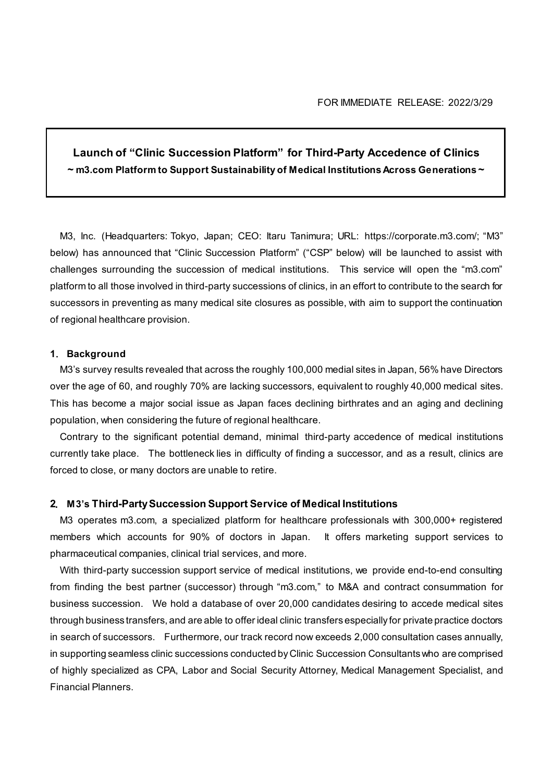# **Launch of "Clinic Succession Platform" for Third-Party Accedence of Clinics ~ m3.com Platform to Support Sustainability of Medical Institutions Across Generations ~**

M3, Inc. (Headquarters: Tokyo, Japan; CEO: Itaru Tanimura; URL: https://corporate.m3.com/; "M3" below) has announced that "Clinic Succession Platform" ("CSP" below) will be launched to assist with challenges surrounding the succession of medical institutions. This service will open the "m3.com" platform to all those involved in third-party successions of clinics, in an effort to contribute to the search for successors in preventing as many medical site closures as possible, with aim to support the continuation of regional healthcare provision.

#### **1**.**Background**

M3's survey results revealed that across the roughly 100,000 medial sites in Japan, 56% have Directors over the age of 60, and roughly 70% are lacking successors, equivalent to roughly 40,000 medical sites. This has become a major social issue as Japan faces declining birthrates and an aging and declining population, when considering the future of regional healthcare.

Contrary to the significant potential demand, minimal third-party accedence of medical institutions currently take place. The bottleneck lies in difficulty of finding a successor, and as a result, clinics are forced to close, or many doctors are unable to retire.

#### **2**.**M3's Third-Party Succession Support Service of Medical Institutions**

M3 operates m3.com, a specialized platform for healthcare professionals with 300,000+ registered members which accounts for 90% of doctors in Japan. It offers marketing support services to pharmaceutical companies, clinical trial services, and more.

With third-party succession support service of medical institutions, we provide end-to-end consulting from finding the best partner (successor) through "m3.com," to M&A and contract consummation for business succession. We hold a database of over 20,000 candidates desiring to accede medical sites through business transfers, and are able to offer ideal clinic transfers especially for private practice doctors in search of successors. Furthermore, our track record now exceeds 2,000 consultation cases annually, in supporting seamless clinic successions conducted by Clinic Succession Consultants who are comprised of highly specialized as CPA, Labor and Social Security Attorney, Medical Management Specialist, and Financial Planners.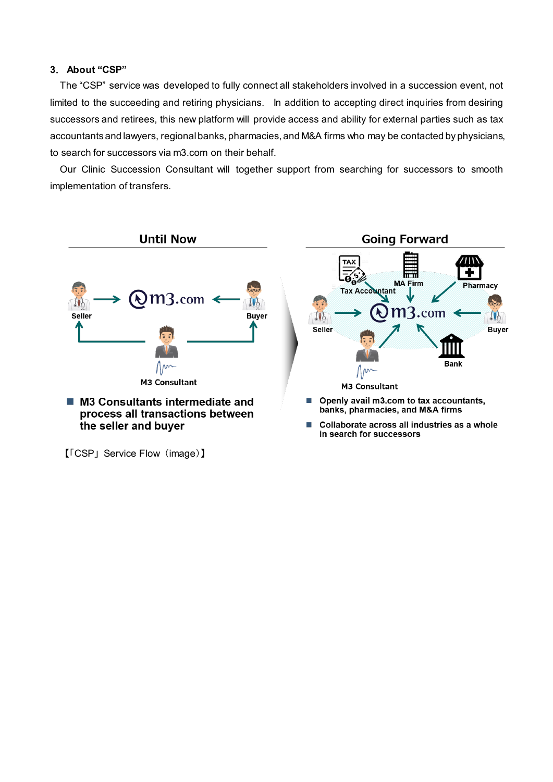### **3**.**About "CSP"**

The "CSP" service was developed to fully connect all stakeholders involved in a succession event, not limited to the succeeding and retiring physicians. In addition to accepting direct inquiries from desiring successors and retirees, this new platform will provide access and ability for external parties such as tax accountants and lawyers, regional banks, pharmacies, and M&A firms who may be contacted by physicians, to search for successors via m3.com on their behalf.

Our Clinic Succession Consultant will together support from searching for successors to smooth implementation of transfers.